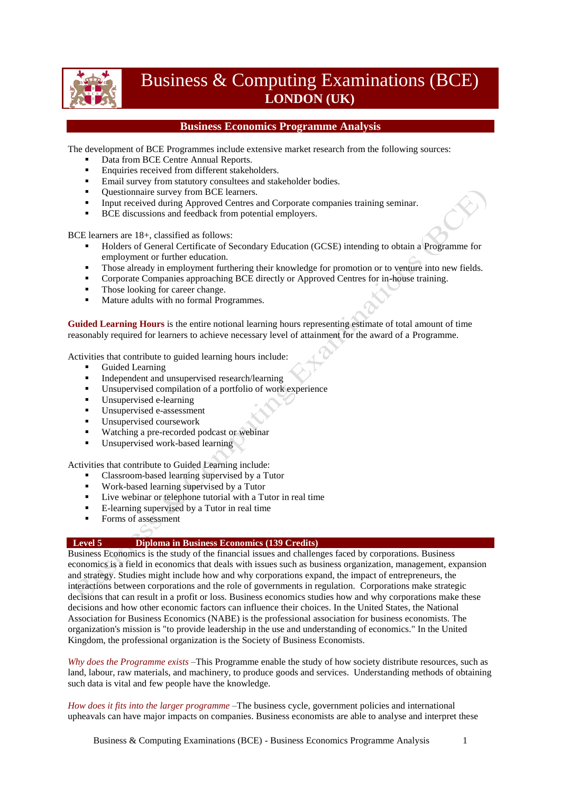

# Business & Computing Examinations (BCE) **LONDON (UK)**

## **Business Economics Programme Analysis**

The development of BCE Programmes include extensive market research from the following sources:

- Data from BCE Centre Annual Reports.
- **Enquiries received from different stakeholders.**
- **Email survey from statutory consultees and stakeholder bodies.**
- Ouestionnaire survey from BCE learners.
- Input received during Approved Centres and Corporate companies training seminar.
- **BCE** discussions and feedback from potential employers.

BCE learners are 18+, classified as follows:

- Holders of General Certificate of Secondary Education (GCSE) intending to obtain a Programme for employment or further education.
- Those already in employment furthering their knowledge for promotion or to venture into new fields.
- **Corporate Companies approaching BCE directly or Approved Centres for in-house training.**
- Those looking for career change.
- Mature adults with no formal Programmes.

**Guided Learning Hours** is the entire notional learning hours representing estimate of total amount of time reasonably required for learners to achieve necessary level of attainment for the award of a Programme.

Activities that contribute to guided learning hours include:

- Guided Learning
- Independent and unsupervised research/learning
- Unsupervised compilation of a portfolio of work experience
- Unsupervised e-learning
- Unsupervised e-assessment
- **Unsupervised coursework**
- Watching a pre-recorded podcast or webinar
- Unsupervised work-based learning

Activities that contribute to Guided Learning include:

- Classroom-based learning supervised by a Tutor
- Work-based learning supervised by a Tutor
- Live webinar or telephone tutorial with a Tutor in real time
- E-learning supervised by a Tutor in real time
- Forms of assessment

#### **Level 5 Diploma in Business Economics (139 Credits)**

Business Economics is the study of the financial issues and challenges faced by corporations. Business economics is a field in economics that deals with issues such as business organization, management, expansion and strategy. Studies might include how and why corporations expand, the impact of entrepreneurs, the interactions between corporations and the role of governments in regulation. Corporations make strategic decisions that can result in a profit or loss. Business economics studies how and why corporations make these decisions and how other economic factors can influence their choices. In the United States, the National Association for Business Economics (NABE) is the professional association for business economists. The organization's mission is "to provide leadership in the use and understanding of economics." In the United Kingdom, the professional organization is the Society of Business Economists.

*Why does the Programme exists* –This Programme enable the study of how society distribute resources, such as land, labour, raw materials, and machinery, to produce goods and services. Understanding methods of obtaining such data is vital and few people have the knowledge.

*How does it fits into the larger programme* –The business cycle, government policies and international upheavals can have major impacts on companies. Business economists are able to analyse and interpret these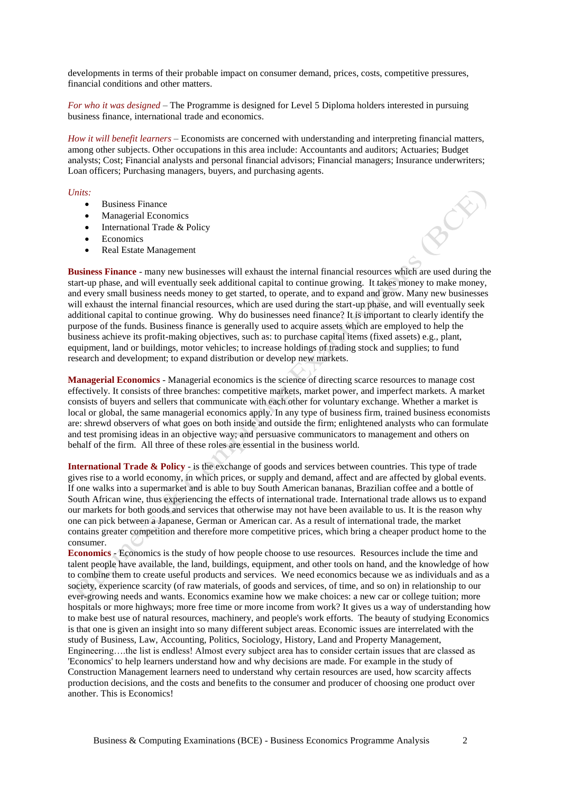developments in terms of their probable impact on consumer demand, prices, costs, competitive pressures, financial conditions and other matters.

*For who it was designed* – The Programme is designed for Level 5 Diploma holders interested in pursuing business finance, international trade and economics.

*How it will benefit learners* – Economists are concerned with understanding and interpreting financial matters, among other subjects. Other occupations in this area include: Accountants and auditors; Actuaries; Budget analysts; Cost; Financial analysts and personal financial advisors; Financial managers; Insurance underwriters; Loan officers; Purchasing managers, buyers, and purchasing agents.

Ò

#### *Units:*

- Business Finance
- Managerial Economics
- International Trade & Policy
- Economics
- Real Estate Management

**Business Finance** - many new businesses will exhaust the internal financial resources which are used during the start-up phase, and will eventually seek additional capital to continue growing. It takes money to make money, and every small business needs money to get started, to operate, and to expand and grow. Many new businesses will exhaust the internal financial resources, which are used during the start-up phase, and will eventually seek additional capital to continue growing. Why do businesses need finance? It is important to clearly identify the purpose of the funds. Business finance is generally used to acquire assets which are employed to help the business achieve its profit-making objectives, such as: to purchase capital items (fixed assets) e.g., plant, equipment, land or buildings, motor vehicles; to increase holdings of trading stock and supplies; to fund research and development; to expand distribution or develop new markets.

**Managerial Economics** - Managerial economics is the science of directing scarce resources to manage cost effectively. It consists of three branches: competitive markets, market power, and imperfect markets. A market consists of buyers and sellers that communicate with each other for voluntary exchange. Whether a market is local or global, the same managerial economics apply. In any type of business firm, trained business economists are: shrewd observers of what goes on both inside and outside the firm; enlightened analysts who can formulate and test promising ideas in an objective way; and persuasive communicators to management and others on behalf of the firm. All three of these roles are essential in the business world.

**International Trade & Policy** - is the exchange of goods and services between countries. This type of trade gives rise to a world economy, in which prices, or supply and demand, affect and are affected by global events. If one walks into a supermarket and is able to buy South American bananas, Brazilian coffee and a bottle of South African wine, thus experiencing the effects of international trade. International trade allows us to expand our markets for both goods and services that otherwise may not have been available to us. It is the reason why one can pick between a Japanese, German or American car. As a result of international trade, the market contains greater competition and therefore more competitive prices, which bring a cheaper product home to the consumer.

**Economics** - Economics is the study of how people choose to use resources. Resources include the time and talent people have available, the land, buildings, equipment, and other tools on hand, and the knowledge of how to combine them to create useful products and services. We need economics because we as individuals and as a society, experience scarcity (of raw materials, of goods and services, of time, and so on) in relationship to our ever-growing needs and wants. Economics examine how we make choices: a new car or college tuition; more hospitals or more highways; more free time or more income from work? It gives us a way of understanding how to make best use of natural resources, machinery, and people's work efforts. The beauty of studying Economics is that one is given an insight into so many different subject areas. Economic issues are interrelated with the study of Business, Law, Accounting, Politics, Sociology, History, Land and Property Management, Engineering….the list is endless! Almost every subject area has to consider certain issues that are classed as 'Economics' to help learners understand how and why decisions are made. For example in the study of Construction Management learners need to understand why certain resources are used, how scarcity affects production decisions, and the costs and benefits to the consumer and producer of choosing one product over another. This is Economics!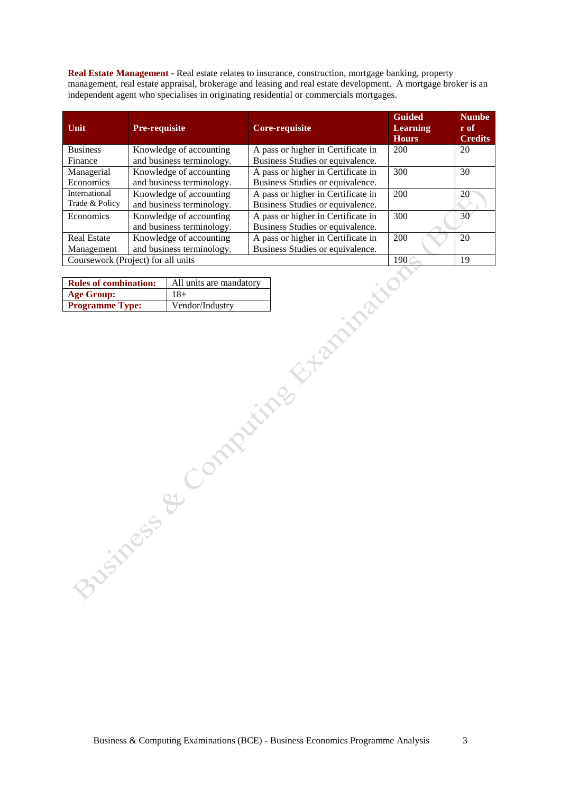**Real Estate Management** - Real estate relates to insurance, construction, mortgage banking, property management, real estate appraisal, brokerage and leasing and real estate development. A mortgage broker is an independent agent who specialises in originating residential or commercials mortgages.

| Unit               | <b>Pre-requisite</b>               | Core-requisite                     | <b>Guided</b><br><b>Learning</b><br><b>Hours</b> | <b>Numbe</b><br>r of<br><b>Credits</b> |
|--------------------|------------------------------------|------------------------------------|--------------------------------------------------|----------------------------------------|
| <b>Business</b>    | Knowledge of accounting            | A pass or higher in Certificate in | 200                                              | 20                                     |
| Finance            | and business terminology.          | Business Studies or equivalence.   |                                                  |                                        |
| Managerial         | Knowledge of accounting            | A pass or higher in Certificate in | 300                                              | 30                                     |
| Economics          | and business terminology.          | Business Studies or equivalence.   |                                                  |                                        |
| International      | Knowledge of accounting            | A pass or higher in Certificate in | 200                                              | 20                                     |
| Trade & Policy     | and business terminology.          | Business Studies or equivalence.   |                                                  |                                        |
| Economics          | Knowledge of accounting            | A pass or higher in Certificate in | 300                                              | 30 <sup>°</sup>                        |
|                    | and business terminology.          | Business Studies or equivalence.   |                                                  |                                        |
| <b>Real Estate</b> | Knowledge of accounting            | A pass or higher in Certificate in | 200                                              | 20                                     |
| Management         | and business terminology.          | Business Studies or equivalence.   |                                                  |                                        |
|                    | Coursework (Project) for all units |                                    | 190                                              | 19                                     |

| <b>Rules of combination:</b> | All units are mandatory |
|------------------------------|-------------------------|
| Age Group:                   | $18+$                   |
| <b>Programme Type:</b>       | Vendor/Industry         |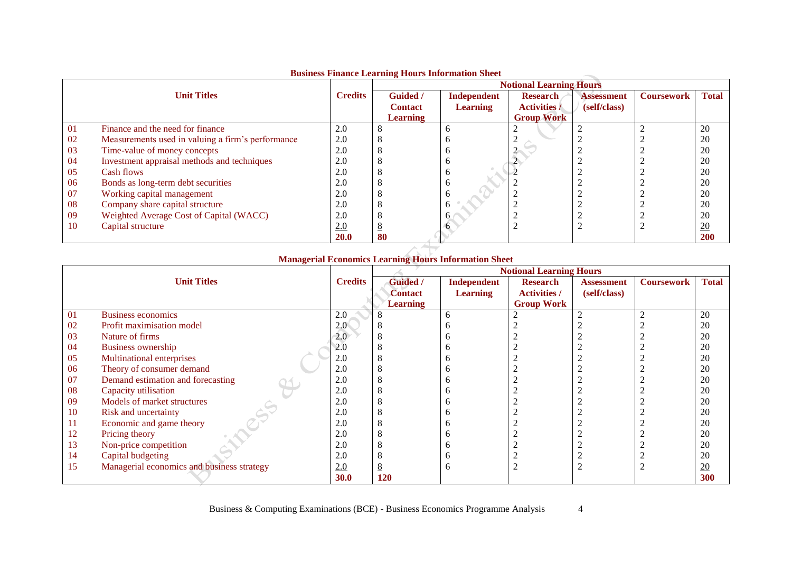|    |                                                   |                | <b>Notional Learning Hours</b> |                 |                     |                   |                   |                  |
|----|---------------------------------------------------|----------------|--------------------------------|-----------------|---------------------|-------------------|-------------------|------------------|
|    | <b>Unit Titles</b>                                | <b>Credits</b> | <b>Guided</b> /                | Independent     | <b>Research</b>     | <b>Assessment</b> | <b>Coursework</b> | <b>Total</b>     |
|    |                                                   |                | <b>Contact</b>                 | <b>Learning</b> | <b>Activities</b> / | (self/class)      |                   |                  |
|    |                                                   |                | <b>Learning</b>                |                 | <b>Group Work</b>   |                   |                   |                  |
| 01 | Finance and the need for finance                  | 2.0            |                                | n               |                     |                   |                   | 20               |
| 02 | Measurements used in valuing a firm's performance | 2.0            |                                |                 |                     |                   |                   | 20               |
| 03 | Time-value of money concepts                      | 2.0            |                                |                 |                     |                   |                   | 20               |
| 04 | Investment appraisal methods and techniques       | 2.0            |                                |                 |                     |                   |                   | 20               |
| 05 | Cash flows                                        | 2.0            |                                |                 |                     |                   |                   | 20               |
| 06 | Bonds as long-term debt securities                | 2.0            |                                |                 |                     |                   |                   | 20               |
| 07 | Working capital management                        | 2.0            |                                |                 |                     |                   |                   | 20               |
| 08 | Company share capital structure                   | 2.0            |                                |                 |                     |                   |                   | 20               |
| 09 | Weighted Average Cost of Capital (WACC)           | 2.0            |                                | <sub>0</sub>    |                     |                   |                   | 20               |
| 10 | Capital structure                                 | 2.0            |                                | <sub>n</sub>    |                     |                   |                   | $\underline{20}$ |
|    |                                                   | <b>20.0</b>    | 80                             |                 |                     |                   |                   | <b>200</b>       |

### **Business Finance Learning Hours Information Sheet**

## **Managerial Economics Learning Hours Information Sheet**

|                    |                                            |                | <b>Notional Learning Hours</b> |                 |                     |              |                   |              |
|--------------------|--------------------------------------------|----------------|--------------------------------|-----------------|---------------------|--------------|-------------------|--------------|
| <b>Unit Titles</b> |                                            | <b>Credits</b> | <b>Guided</b> /                | Independent     | <b>Research</b>     | Assessment   | <b>Coursework</b> | <b>Total</b> |
|                    |                                            |                | <b>Contact</b>                 | <b>Learning</b> | <b>Activities</b> / | (self/class) |                   |              |
|                    |                                            |                | <b>Learning</b>                |                 | <b>Group Work</b>   |              |                   |              |
| 01                 | <b>Business economics</b>                  | 2.0            |                                | h               |                     |              | 2                 | 20           |
| 02                 | Profit maximisation model                  | 2.0            |                                |                 |                     |              |                   | 20           |
| 03                 | Nature of firms                            | 2.0            |                                |                 |                     |              |                   | 20           |
| 04                 | Business ownership                         | 2.0            |                                |                 |                     |              |                   | 20           |
| 05                 | <b>Multinational enterprises</b>           | 2.0            |                                |                 |                     |              |                   | 20           |
| 06                 | Theory of consumer demand                  | 2.0            |                                |                 |                     |              |                   | 20           |
| 07                 | Demand estimation and forecasting          | 2.0            |                                |                 |                     |              |                   | 20           |
| 08                 | Capacity utilisation                       | 2.0            |                                |                 |                     |              |                   | 20           |
| 09                 | Models of market structures                | 2.0            |                                |                 |                     |              |                   | 20           |
| 10                 | Risk and uncertainty                       | 2.0            |                                |                 |                     |              |                   | 20           |
| 11                 | Economic and game theory                   | 2.0            |                                |                 |                     |              |                   | 20           |
| 12                 | Pricing theory                             | 2.0            |                                |                 |                     |              |                   | 20           |
| 13                 | Non-price competition                      | 2.0            |                                |                 |                     |              |                   | 20           |
| 14                 | Capital budgeting                          | 2.0            |                                |                 |                     |              |                   | 20           |
| 15                 | Managerial economics and business strategy | 2.0            |                                |                 |                     |              |                   | 20           |
|                    |                                            | <b>30.0</b>    | 120                            |                 |                     |              |                   | 300          |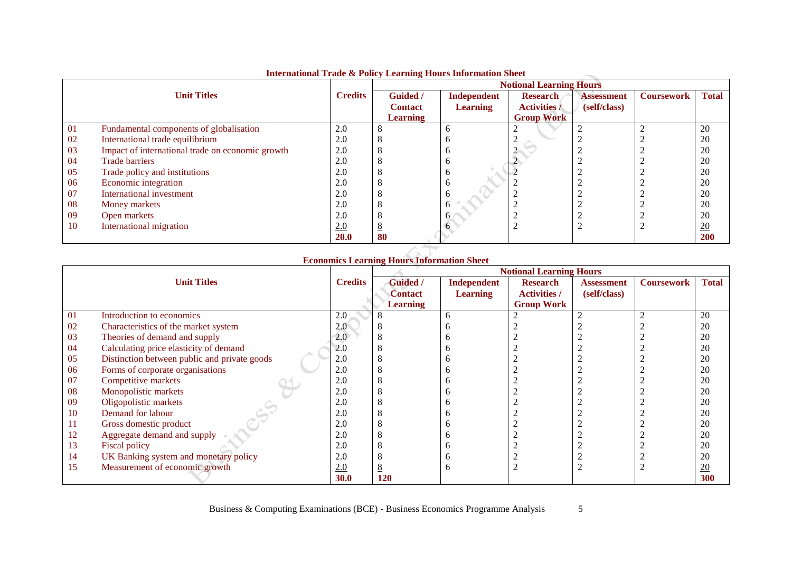|    |                                                  |                |                 | <b>Notional Learning Hours</b> |                     |                   |                   |              |
|----|--------------------------------------------------|----------------|-----------------|--------------------------------|---------------------|-------------------|-------------------|--------------|
|    | <b>Unit Titles</b>                               | <b>Credits</b> | <b>Guided</b> / | Independent                    | <b>Research</b>     | <b>Assessment</b> | <b>Coursework</b> | <b>Total</b> |
|    |                                                  |                | <b>Contact</b>  | <b>Learning</b>                | <b>Activities</b> / | (self/class)      |                   |              |
|    |                                                  |                | <b>Learning</b> |                                | <b>Group Work</b>   |                   |                   |              |
| 01 | Fundamental components of globalisation          | 2.0            |                 | n                              |                     |                   |                   | 20           |
| 02 | International trade equilibrium                  | 2.0            |                 |                                |                     |                   |                   | 20           |
| 03 | Impact of international trade on economic growth | 2.0            |                 |                                |                     |                   |                   | 20           |
| 04 | <b>Trade barriers</b>                            | 2.0            |                 | n                              |                     |                   |                   | 20           |
| 05 | Trade policy and institutions                    | 2.0            |                 | n                              |                     |                   |                   | 20           |
| 06 | Economic integration                             | 2.0            |                 | n                              |                     |                   |                   | 20           |
| 07 | International investment                         | 2.0            |                 |                                |                     |                   |                   | 20           |
| 08 | Money markets                                    | 2.0            |                 | n                              |                     |                   |                   | 20           |
| 09 | Open markets                                     | 2.0            |                 |                                |                     |                   |                   | 20           |
| 10 | International migration                          | 2.0            |                 | <sub>0</sub>                   |                     |                   |                   | 20           |
|    |                                                  | <b>20.0</b>    | 80              |                                |                     |                   |                   | <b>200</b>   |

## **International Trade & Policy Learning Hours Information Sheet**

## **Economics Learning Hours Information Sheet**

|    |                                              |                | <b>Notional Learning Hours</b> |                 |                     |                   |                   |              |  |
|----|----------------------------------------------|----------------|--------------------------------|-----------------|---------------------|-------------------|-------------------|--------------|--|
|    | <b>Unit Titles</b>                           | <b>Credits</b> | <b>Guided</b> /                | Independent     | <b>Research</b>     | <b>Assessment</b> | <b>Coursework</b> | <b>Total</b> |  |
|    |                                              |                | <b>Contact</b>                 | <b>Learning</b> | <b>Activities</b> / | (self/class)      |                   |              |  |
|    |                                              |                | <b>Learning</b>                |                 | <b>Group Work</b>   |                   |                   |              |  |
| 01 | Introduction to economics                    | 2.0            |                                | 6               |                     |                   |                   | 20           |  |
| 02 | Characteristics of the market system         | 2.0            |                                |                 |                     |                   |                   | 20           |  |
| 03 | Theories of demand and supply                | 2.0            |                                |                 |                     |                   |                   | 20           |  |
| 04 | Calculating price elasticity of demand       | 2.0            |                                |                 |                     |                   |                   | 20           |  |
| 05 | Distinction between public and private goods | 2.0            |                                |                 |                     |                   |                   | 20           |  |
| 06 | Forms of corporate organisations             | 2.0            |                                |                 |                     |                   |                   | 20           |  |
| 07 | Competitive markets                          | 2.0            |                                |                 |                     |                   |                   | 20           |  |
| 08 | Monopolistic markets                         | 2.0            |                                |                 |                     |                   |                   | 20           |  |
| 09 | Oligopolistic markets                        | 2.0            |                                |                 |                     |                   |                   | 20           |  |
| 10 | Demand for labour                            | 2.0            |                                |                 |                     |                   |                   | 20           |  |
| 11 | Gross domestic product                       | 2.0            |                                |                 |                     |                   |                   | 20           |  |
| 12 | Aggregate demand and supply                  | 2.0            |                                |                 |                     |                   |                   | 20           |  |
| 13 | Fiscal policy                                | 2.0            |                                |                 |                     |                   |                   | 20           |  |
| 14 | UK Banking system and monetary policy        | 2.0            |                                |                 |                     |                   |                   | 20           |  |
| 15 | Measurement of economic growth               | 2.0            |                                |                 |                     |                   |                   | 20           |  |
|    |                                              | 30.0           | 120                            |                 |                     |                   |                   | 300          |  |